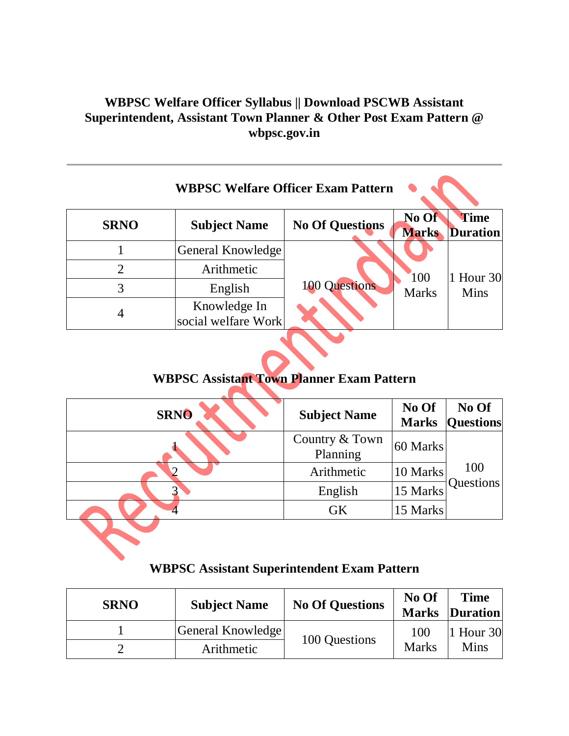# **WBPSC Welfare Officer Syllabus || Download PSCWB Assistant Superintendent, Assistant Town Planner & Other Post Exam Pattern @ wbpsc.gov.in**

|             | <b>WBPSC Welfare Officer Exam Pattern</b> |                        |                       |                         |
|-------------|-------------------------------------------|------------------------|-----------------------|-------------------------|
| <b>SRNO</b> | <b>Subject Name</b>                       | <b>No Of Questions</b> | No Of<br><b>Marks</b> | Time<br><b>Duration</b> |
|             | General Knowledge                         |                        |                       |                         |
| 2           | Arithmetic                                |                        | <b>100</b>            | $ 1$ Hour 30            |
| 3           | English                                   | <b>100 Questions</b>   | <b>Marks</b>          | Mins                    |
|             | Knowledge In<br>social welfare Work       |                        |                       |                         |

# **WBPSC Assistant Town Planner Exam Pattern**

| <b>SRNO</b>  | <b>Subject Name</b>        | No Of<br><b>Marks</b> | No Of<br><b>Questions</b> |
|--------------|----------------------------|-----------------------|---------------------------|
|              | Country & Town<br>Planning | 60 Marks              |                           |
| $\mathbf{2}$ | Arithmetic                 | 10 Marks              | 100                       |
|              | English                    | 15 Marks              | Questions                 |
|              | <b>GK</b>                  | 15 Marks              |                           |
|              |                            |                       |                           |

## **WBPSC Assistant Superintendent Exam Pattern**

| <b>SRNO</b> | <b>Subject Name</b> | <b>No Of Questions</b> | No Of               | <b>Time</b><br><b>Marks Duration</b> |
|-------------|---------------------|------------------------|---------------------|--------------------------------------|
|             | General Knowledge   | 100 Questions          | 100<br><b>Marks</b> | 1 Hour $30$<br>Mins                  |
|             | Arithmetic          |                        |                     |                                      |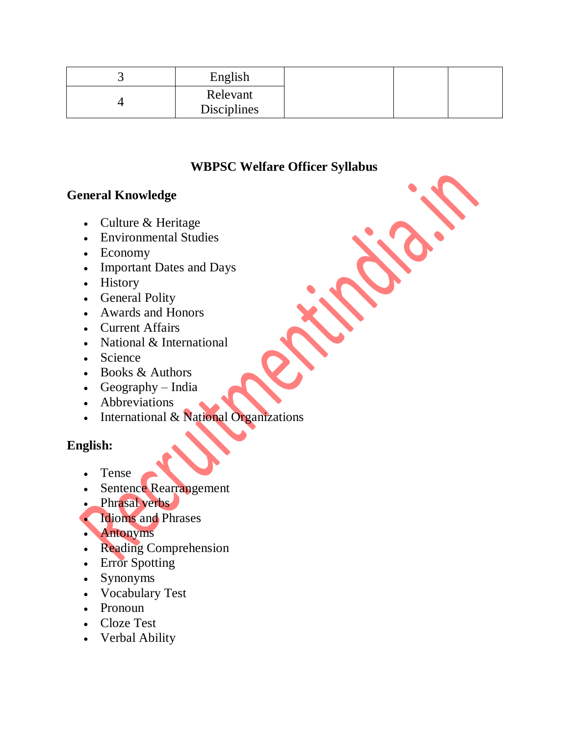| $\sim$ $\sim$ | English                        |  |  |
|---------------|--------------------------------|--|--|
|               | Relevant<br><b>Disciplines</b> |  |  |

## **WBPSC Welfare Officer Syllabus**

#### **General Knowledge**

- Culture & Heritage
- Environmental Studies
- Economy
- Important Dates and Days
- History
- General Polity
- Awards and Honors
- Current Affairs
- National & International
- Science
- Books & Authors
- Geography India
- Abbreviations
- International & National Organizations

### **English:**

- Tense
- Sentence Rearrangement
- Phrasal verbs
- Idioms and Phrases
- Antonyms
- Reading Comprehension
- Error Spotting
- Synonyms
- Vocabulary Test
- Pronoun
- Cloze Test
- Verbal Ability